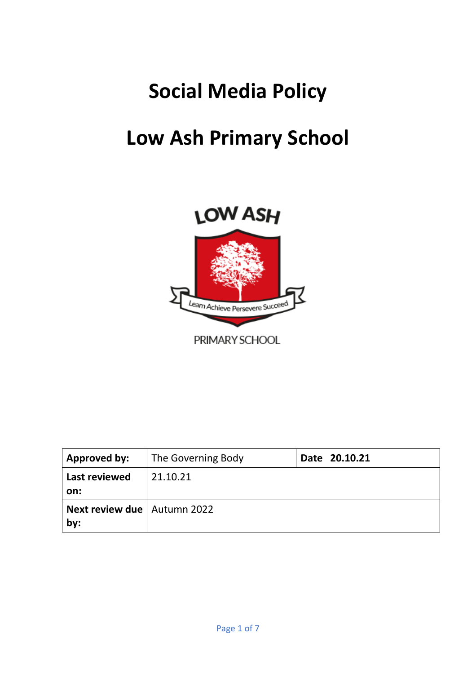# **Social Media Policy**

## **Low Ash Primary School**



| Approved by:                                | The Governing Body | Date 20.10.21 |
|---------------------------------------------|--------------------|---------------|
| Last reviewed                               | 21.10.21           |               |
| on:<br><b>Next review due   Autumn 2022</b> |                    |               |
| by:                                         |                    |               |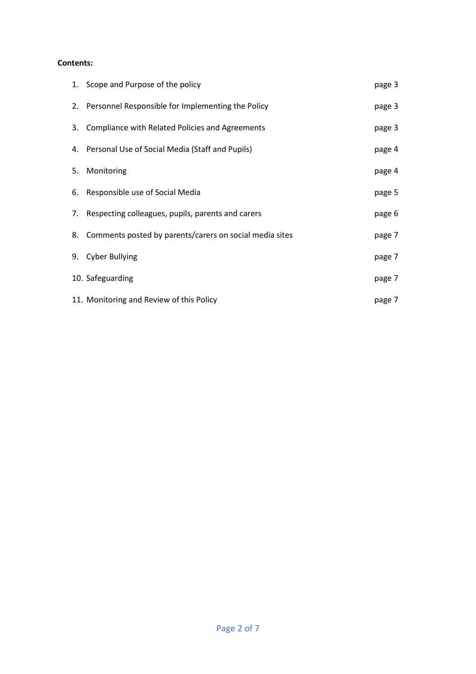## **Contents:**

| 1. Scope and Purpose of the policy                         | page 3 |
|------------------------------------------------------------|--------|
| 2. Personnel Responsible for Implementing the Policy       | page 3 |
| 3. Compliance with Related Policies and Agreements         | page 3 |
| 4. Personal Use of Social Media (Staff and Pupils)         | page 4 |
| 5. Monitoring                                              | page 4 |
| 6. Responsible use of Social Media                         | page 5 |
| 7. Respecting colleagues, pupils, parents and carers       | page 6 |
| 8. Comments posted by parents/carers on social media sites | page 7 |
| 9. Cyber Bullying                                          | page 7 |
| 10. Safeguarding                                           | page 7 |
| 11. Monitoring and Review of this Policy                   | page 7 |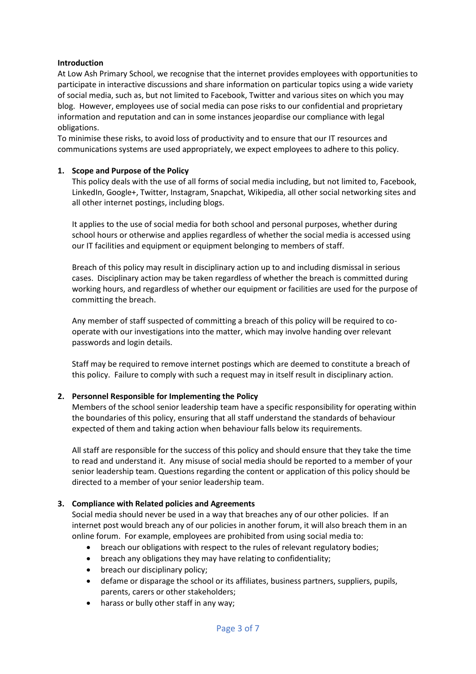## **Introduction**

At Low Ash Primary School, we recognise that the internet provides employees with opportunities to participate in interactive discussions and share information on particular topics using a wide variety of social media, such as, but not limited to Facebook, Twitter and various sites on which you may blog. However, employees use of social media can pose risks to our confidential and proprietary information and reputation and can in some instances jeopardise our compliance with legal obligations.

To minimise these risks, to avoid loss of productivity and to ensure that our IT resources and communications systems are used appropriately, we expect employees to adhere to this policy.

## **1. Scope and Purpose of the Policy**

This policy deals with the use of all forms of social media including, but not limited to, Facebook, LinkedIn, Google+, Twitter, Instagram, Snapchat, Wikipedia, all other social networking sites and all other internet postings, including blogs.

It applies to the use of social media for both school and personal purposes, whether during school hours or otherwise and applies regardless of whether the social media is accessed using our IT facilities and equipment or equipment belonging to members of staff.

Breach of this policy may result in disciplinary action up to and including dismissal in serious cases. Disciplinary action may be taken regardless of whether the breach is committed during working hours, and regardless of whether our equipment or facilities are used for the purpose of committing the breach.

Any member of staff suspected of committing a breach of this policy will be required to cooperate with our investigations into the matter, which may involve handing over relevant passwords and login details.

Staff may be required to remove internet postings which are deemed to constitute a breach of this policy. Failure to comply with such a request may in itself result in disciplinary action.

#### **2. Personnel Responsible for Implementing the Policy**

Members of the school senior leadership team have a specific responsibility for operating within the boundaries of this policy, ensuring that all staff understand the standards of behaviour expected of them and taking action when behaviour falls below its requirements.

All staff are responsible for the success of this policy and should ensure that they take the time to read and understand it. Any misuse of social media should be reported to a member of your senior leadership team. Questions regarding the content or application of this policy should be directed to a member of your senior leadership team.

#### **3. Compliance with Related policies and Agreements**

Social media should never be used in a way that breaches any of our other policies. If an internet post would breach any of our policies in another forum, it will also breach them in an online forum. For example, employees are prohibited from using social media to:

- breach our obligations with respect to the rules of relevant regulatory bodies;
- breach any obligations they may have relating to confidentiality;
- breach our disciplinary policy;
- defame or disparage the school or its affiliates, business partners, suppliers, pupils, parents, carers or other stakeholders;
- harass or bully other staff in any way;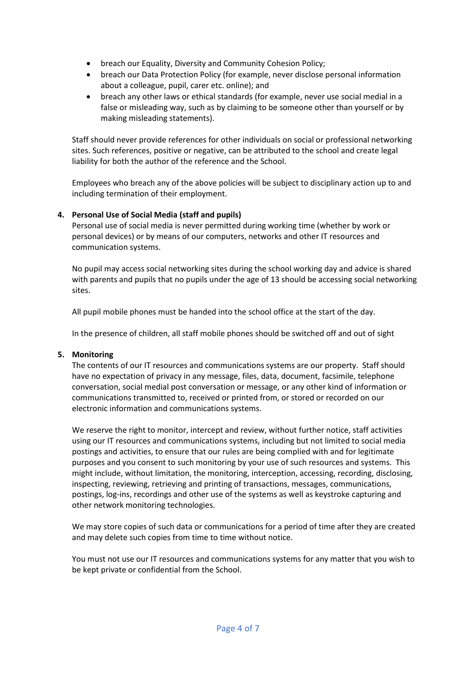- breach our Equality, Diversity and Community Cohesion Policy;
- breach our Data Protection Policy (for example, never disclose personal information about a colleague, pupil, carer etc. online); and
- breach any other laws or ethical standards (for example, never use social medial in a false or misleading way, such as by claiming to be someone other than yourself or by making misleading statements).

Staff should never provide references for other individuals on social or professional networking sites. Such references, positive or negative, can be attributed to the school and create legal liability for both the author of the reference and the School.

Employees who breach any of the above policies will be subject to disciplinary action up to and including termination of their employment.

## **4. Personal Use of Social Media (staff and pupils)**

Personal use of social media is never permitted during working time (whether by work or personal devices) or by means of our computers, networks and other IT resources and communication systems.

No pupil may access social networking sites during the school working day and advice is shared with parents and pupils that no pupils under the age of 13 should be accessing social networking sites.

All pupil mobile phones must be handed into the school office at the start of the day.

In the presence of children, all staff mobile phones should be switched off and out of sight

## **5. Monitoring**

The contents of our IT resources and communications systems are our property. Staff should have no expectation of privacy in any message, files, data, document, facsimile, telephone conversation, social medial post conversation or message, or any other kind of information or communications transmitted to, received or printed from, or stored or recorded on our electronic information and communications systems.

We reserve the right to monitor, intercept and review, without further notice, staff activities using our IT resources and communications systems, including but not limited to social media postings and activities, to ensure that our rules are being complied with and for legitimate purposes and you consent to such monitoring by your use of such resources and systems. This might include, without limitation, the monitoring, interception, accessing, recording, disclosing, inspecting, reviewing, retrieving and printing of transactions, messages, communications, postings, log-ins, recordings and other use of the systems as well as keystroke capturing and other network monitoring technologies.

We may store copies of such data or communications for a period of time after they are created and may delete such copies from time to time without notice.

You must not use our IT resources and communications systems for any matter that you wish to be kept private or confidential from the School.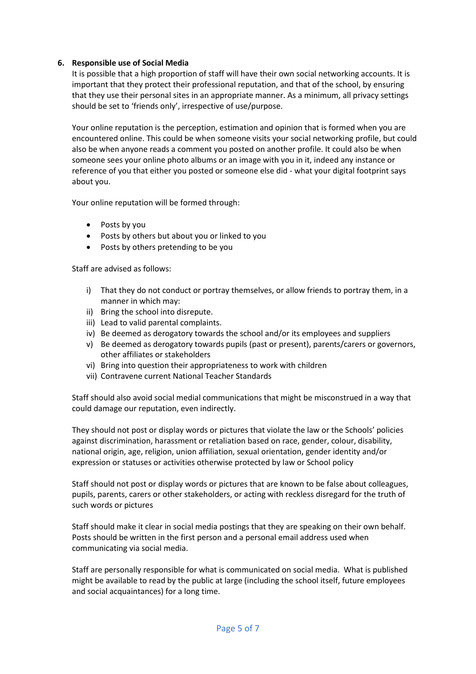## **6. Responsible use of Social Media**

It is possible that a high proportion of staff will have their own social networking accounts. It is important that they protect their professional reputation, and that of the school, by ensuring that they use their personal sites in an appropriate manner. As a minimum, all privacy settings should be set to 'friends only', irrespective of use/purpose.

Your online reputation is the perception, estimation and opinion that is formed when you are encountered online. This could be when someone visits your social networking profile, but could also be when anyone reads a comment you posted on another profile. It could also be when someone sees your online photo albums or an image with you in it, indeed any instance or reference of you that either you posted or someone else did - what your digital footprint says about you.

Your online reputation will be formed through:

- Posts by you
- Posts by others but about you or linked to you
- Posts by others pretending to be you

Staff are advised as follows:

- i) That they do not conduct or portray themselves, or allow friends to portray them, in a manner in which may:
- ii) Bring the school into disrepute.
- iii) Lead to valid parental complaints.
- iv) Be deemed as derogatory towards the school and/or its employees and suppliers
- v) Be deemed as derogatory towards pupils (past or present), parents/carers or governors, other affiliates or stakeholders
- vi) Bring into question their appropriateness to work with children
- vii) Contravene current National Teacher Standards

Staff should also avoid social medial communications that might be misconstrued in a way that could damage our reputation, even indirectly.

They should not post or display words or pictures that violate the law or the Schools' policies against discrimination, harassment or retaliation based on race, gender, colour, disability, national origin, age, religion, union affiliation, sexual orientation, gender identity and/or expression or statuses or activities otherwise protected by law or School policy

Staff should not post or display words or pictures that are known to be false about colleagues, pupils, parents, carers or other stakeholders, or acting with reckless disregard for the truth of such words or pictures

Staff should make it clear in social media postings that they are speaking on their own behalf. Posts should be written in the first person and a personal email address used when communicating via social media.

Staff are personally responsible for what is communicated on social media. What is published might be available to read by the public at large (including the school itself, future employees and social acquaintances) for a long time.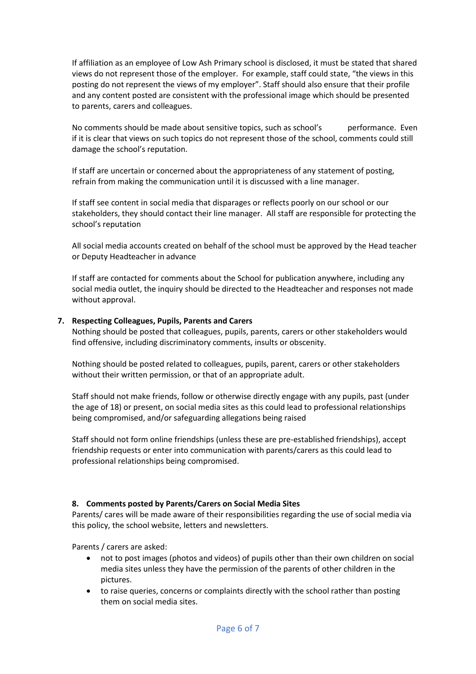If affiliation as an employee of Low Ash Primary school is disclosed, it must be stated that shared views do not represent those of the employer. For example, staff could state, "the views in this posting do not represent the views of my employer". Staff should also ensure that their profile and any content posted are consistent with the professional image which should be presented to parents, carers and colleagues.

No comments should be made about sensitive topics, such as school's performance. Even if it is clear that views on such topics do not represent those of the school, comments could still damage the school's reputation.

If staff are uncertain or concerned about the appropriateness of any statement of posting, refrain from making the communication until it is discussed with a line manager.

If staff see content in social media that disparages or reflects poorly on our school or our stakeholders, they should contact their line manager. All staff are responsible for protecting the school's reputation

All social media accounts created on behalf of the school must be approved by the Head teacher or Deputy Headteacher in advance

If staff are contacted for comments about the School for publication anywhere, including any social media outlet, the inquiry should be directed to the Headteacher and responses not made without approval.

## **7. Respecting Colleagues, Pupils, Parents and Carers**

Nothing should be posted that colleagues, pupils, parents, carers or other stakeholders would find offensive, including discriminatory comments, insults or obscenity.

Nothing should be posted related to colleagues, pupils, parent, carers or other stakeholders without their written permission, or that of an appropriate adult.

Staff should not make friends, follow or otherwise directly engage with any pupils, past (under the age of 18) or present, on social media sites as this could lead to professional relationships being compromised, and/or safeguarding allegations being raised

Staff should not form online friendships (unless these are pre-established friendships), accept friendship requests or enter into communication with parents/carers as this could lead to professional relationships being compromised.

#### **8. Comments posted by Parents/Carers on Social Media Sites**

Parents/ cares will be made aware of their responsibilities regarding the use of social media via this policy, the school website, letters and newsletters.

Parents / carers are asked:

- not to post images (photos and videos) of pupils other than their own children on social media sites unless they have the permission of the parents of other children in the pictures.
- to raise queries, concerns or complaints directly with the school rather than posting them on social media sites.